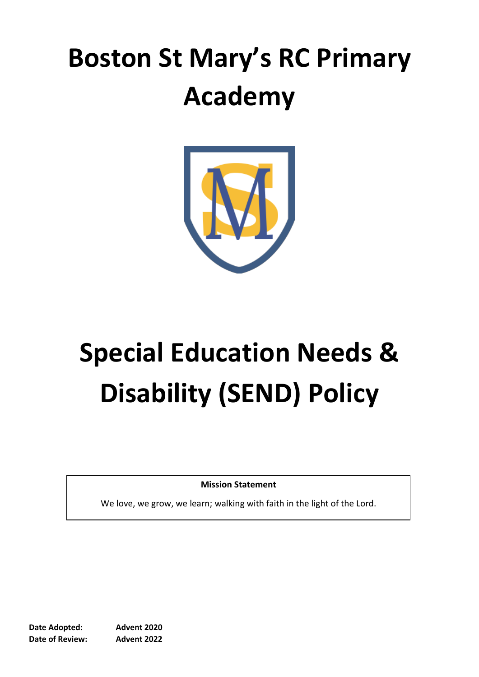# **Boston St Mary's RC Primary Academy**



# **Special Education Needs & Disability (SEND) Policy**

**Mission Statement** 

We love, we grow, we learn; walking with faith in the light of the Lord.

**Date Adopted: Advent 2020 Date of Review: Advent 2022**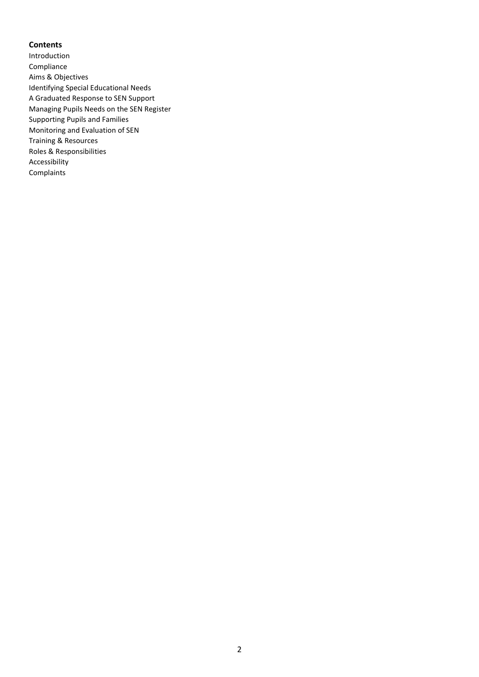# **Contents**

Introduction Compliance Aims & Objectives Identifying Special Educational Needs A Graduated Response to SEN Support Managing Pupils Needs on the SEN Register Supporting Pupils and Families Monitoring and Evaluation of SEN Training & Resources Roles & Responsibilities Accessibility Complaints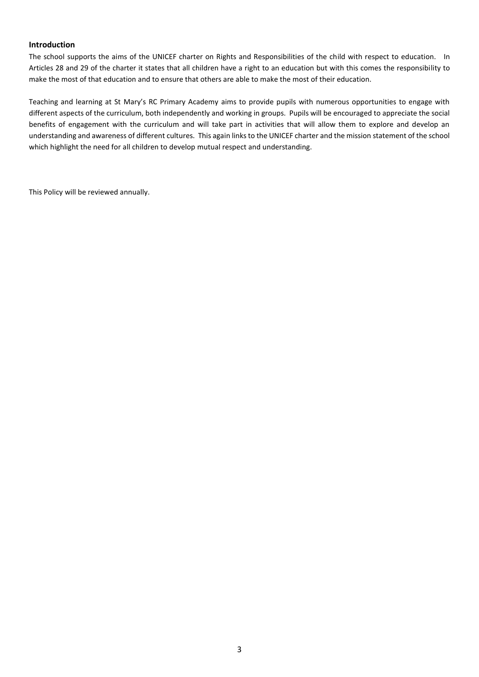## **Introduction**

The school supports the aims of the UNICEF charter on Rights and Responsibilities of the child with respect to education. In Articles 28 and 29 of the charter it states that all children have a right to an education but with this comes the responsibility to make the most of that education and to ensure that others are able to make the most of their education.

Teaching and learning at St Mary's RC Primary Academy aims to provide pupils with numerous opportunities to engage with different aspects of the curriculum, both independently and working in groups. Pupils will be encouraged to appreciate the social benefits of engagement with the curriculum and will take part in activities that will allow them to explore and develop an understanding and awareness of different cultures. This again links to the UNICEF charter and the mission statement of the school which highlight the need for all children to develop mutual respect and understanding.

This Policy will be reviewed annually.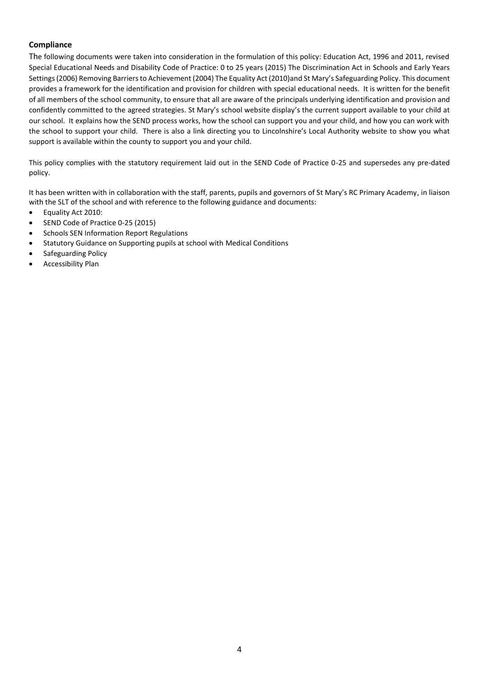# **Compliance**

The following documents were taken into consideration in the formulation of this policy: Education Act, 1996 and 2011, revised Special Educational Needs and Disability Code of Practice: 0 to 25 years (2015) The Discrimination Act in Schools and Early Years Settings (2006) Removing Barriers to Achievement (2004) The Equality Act (2010)and St Mary's Safeguarding Policy. This document provides a framework for the identification and provision for children with special educational needs. It is written for the benefit of all members of the school community, to ensure that all are aware of the principals underlying identification and provision and confidently committed to the agreed strategies. St Mary's school website display's the current support available to your child at our school. It explains how the SEND process works, how the school can support you and your child, and how you can work with the school to support your child. There is also a link directing you to Lincolnshire's Local Authority website to show you what support is available within the county to support you and your child.

This policy complies with the statutory requirement laid out in the SEND Code of Practice 0-25 and supersedes any pre-dated policy.

It has been written with in collaboration with the staff, parents, pupils and governors of St Mary's RC Primary Academy, in liaison with the SLT of the school and with reference to the following guidance and documents:

- Equality Act 2010:
- SEND Code of Practice 0-25 (2015)
- Schools SEN Information Report Regulations
- Statutory Guidance on Supporting pupils at school with Medical Conditions
- Safeguarding Policy
- Accessibility Plan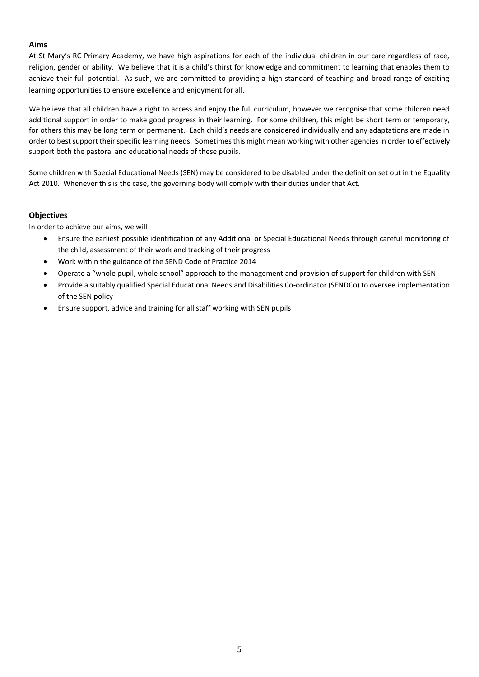#### **Aims**

At St Mary's RC Primary Academy, we have high aspirations for each of the individual children in our care regardless of race, religion, gender or ability. We believe that it is a child's thirst for knowledge and commitment to learning that enables them to achieve their full potential. As such, we are committed to providing a high standard of teaching and broad range of exciting learning opportunities to ensure excellence and enjoyment for all.

We believe that all children have a right to access and enjoy the full curriculum, however we recognise that some children need additional support in order to make good progress in their learning. For some children, this might be short term or temporary, for others this may be long term or permanent. Each child's needs are considered individually and any adaptations are made in order to best support their specific learning needs. Sometimes this might mean working with other agencies in order to effectively support both the pastoral and educational needs of these pupils.

Some children with Special Educational Needs (SEN) may be considered to be disabled under the definition set out in the Equality Act 2010. Whenever this is the case, the governing body will comply with their duties under that Act.

#### **Objectives**

In order to achieve our aims, we will

- Ensure the earliest possible identification of any Additional or Special Educational Needs through careful monitoring of the child, assessment of their work and tracking of their progress
- Work within the guidance of the SEND Code of Practice 2014
- Operate a "whole pupil, whole school" approach to the management and provision of support for children with SEN
- Provide a suitably qualified Special Educational Needs and Disabilities Co-ordinator (SENDCo) to oversee implementation of the SEN policy
- Ensure support, advice and training for all staff working with SEN pupils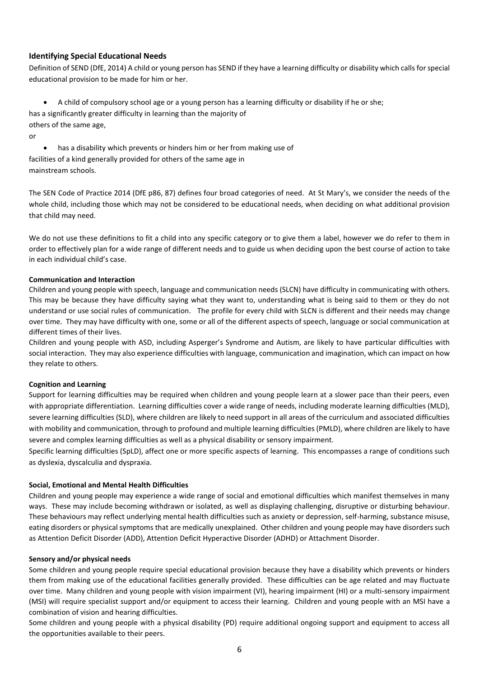# **Identifying Special Educational Needs**

Definition of SEND (DfE, 2014) A child or young person has SEND if they have a learning difficulty or disability which calls for special educational provision to be made for him or her.

 A child of compulsory school age or a young person has a learning difficulty or disability if he or she; has a significantly greater difficulty in learning than the majority of others of the same age,

or

 has a disability which prevents or hinders him or her from making use of facilities of a kind generally provided for others of the same age in mainstream schools.

The SEN Code of Practice 2014 (DfE p86, 87) defines four broad categories of need. At St Mary's, we consider the needs of the whole child, including those which may not be considered to be educational needs, when deciding on what additional provision that child may need.

We do not use these definitions to fit a child into any specific category or to give them a label, however we do refer to them in order to effectively plan for a wide range of different needs and to guide us when deciding upon the best course of action to take in each individual child's case.

#### **Communication and Interaction**

Children and young people with speech, language and communication needs (SLCN) have difficulty in communicating with others. This may be because they have difficulty saying what they want to, understanding what is being said to them or they do not understand or use social rules of communication. The profile for every child with SLCN is different and their needs may change over time. They may have difficulty with one, some or all of the different aspects of speech, language or social communication at different times of their lives.

Children and young people with ASD, including Asperger's Syndrome and Autism, are likely to have particular difficulties with social interaction. They may also experience difficulties with language, communication and imagination, which can impact on how they relate to others.

#### **Cognition and Learning**

Support for learning difficulties may be required when children and young people learn at a slower pace than their peers, even with appropriate differentiation. Learning difficulties cover a wide range of needs, including moderate learning difficulties (MLD), severe learning difficulties (SLD), where children are likely to need support in all areas of the curriculum and associated difficulties with mobility and communication, through to profound and multiple learning difficulties (PMLD), where children are likely to have severe and complex learning difficulties as well as a physical disability or sensory impairment.

Specific learning difficulties (SpLD), affect one or more specific aspects of learning. This encompasses a range of conditions such as dyslexia, dyscalculia and dyspraxia.

#### **Social, Emotional and Mental Health Difficulties**

Children and young people may experience a wide range of social and emotional difficulties which manifest themselves in many ways. These may include becoming withdrawn or isolated, as well as displaying challenging, disruptive or disturbing behaviour. These behaviours may reflect underlying mental health difficulties such as anxiety or depression, self-harming, substance misuse, eating disorders or physical symptoms that are medically unexplained. Other children and young people may have disorders such as Attention Deficit Disorder (ADD), Attention Deficit Hyperactive Disorder (ADHD) or Attachment Disorder.

#### **Sensory and/or physical needs**

Some children and young people require special educational provision because they have a disability which prevents or hinders them from making use of the educational facilities generally provided. These difficulties can be age related and may fluctuate over time. Many children and young people with vision impairment (VI), hearing impairment (HI) or a multi-sensory impairment (MSI) will require specialist support and/or equipment to access their learning. Children and young people with an MSI have a combination of vision and hearing difficulties.

Some children and young people with a physical disability (PD) require additional ongoing support and equipment to access all the opportunities available to their peers.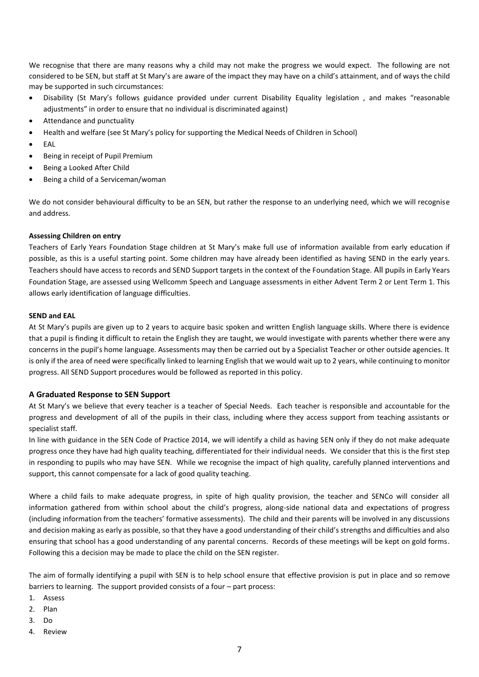We recognise that there are many reasons why a child may not make the progress we would expect. The following are not considered to be SEN, but staff at St Mary's are aware of the impact they may have on a child's attainment, and of ways the child may be supported in such circumstances:

- Disability (St Mary's follows guidance provided under current Disability Equality legislation , and makes "reasonable adjustments" in order to ensure that no individual is discriminated against)
- Attendance and punctuality
- Health and welfare (see St Mary's policy for supporting the Medical Needs of Children in School)
- EAL
- Being in receipt of Pupil Premium
- Being a Looked After Child
- Being a child of a Serviceman/woman

We do not consider behavioural difficulty to be an SEN, but rather the response to an underlying need, which we will recognise and address.

#### **Assessing Children on entry**

Teachers of Early Years Foundation Stage children at St Mary's make full use of information available from early education if possible, as this is a useful starting point. Some children may have already been identified as having SEND in the early years. Teachers should have access to records and SEND Support targets in the context of the Foundation Stage. All pupils in Early Years Foundation Stage, are assessed using Wellcomm Speech and Language assessments in either Advent Term 2 or Lent Term 1. This allows early identification of language difficulties.

#### **SEND and EAL**

At St Mary's pupils are given up to 2 years to acquire basic spoken and written English language skills. Where there is evidence that a pupil is finding it difficult to retain the English they are taught, we would investigate with parents whether there were any concerns in the pupil's home language. Assessments may then be carried out by a Specialist Teacher or other outside agencies. It is only if the area of need were specifically linked to learning English that we would wait up to 2 years, while continuing to monitor progress. All SEND Support procedures would be followed as reported in this policy.

#### **A Graduated Response to SEN Support**

At St Mary's we believe that every teacher is a teacher of Special Needs. Each teacher is responsible and accountable for the progress and development of all of the pupils in their class, including where they access support from teaching assistants or specialist staff.

In line with guidance in the SEN Code of Practice 2014, we will identify a child as having SEN only if they do not make adequate progress once they have had high quality teaching, differentiated for their individual needs. We consider that this is the first step in responding to pupils who may have SEN. While we recognise the impact of high quality, carefully planned interventions and support, this cannot compensate for a lack of good quality teaching.

Where a child fails to make adequate progress, in spite of high quality provision, the teacher and SENCo will consider all information gathered from within school about the child's progress, along-side national data and expectations of progress (including information from the teachers' formative assessments). The child and their parents will be involved in any discussions and decision making as early as possible, so that they have a good understanding of their child's strengths and difficulties and also ensuring that school has a good understanding of any parental concerns. Records of these meetings will be kept on gold forms. Following this a decision may be made to place the child on the SEN register.

The aim of formally identifying a pupil with SEN is to help school ensure that effective provision is put in place and so remove barriers to learning. The support provided consists of a four – part process:

- 1. Assess
- 2. Plan
- 3. Do
- 4. Review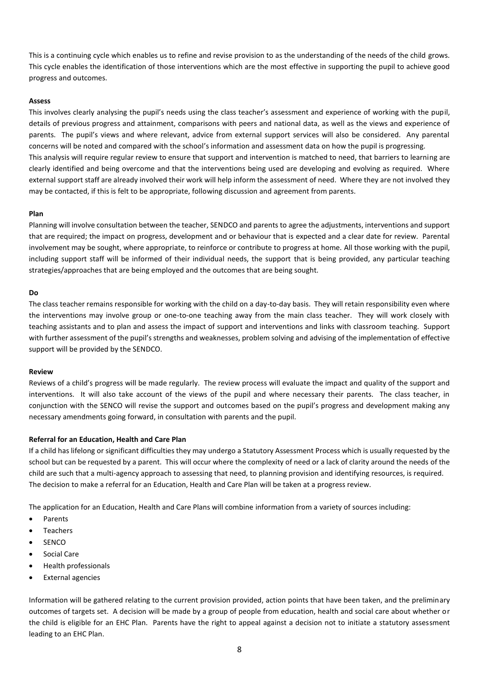This is a continuing cycle which enables us to refine and revise provision to as the understanding of the needs of the child grows. This cycle enables the identification of those interventions which are the most effective in supporting the pupil to achieve good progress and outcomes.

#### **Assess**

This involves clearly analysing the pupil's needs using the class teacher's assessment and experience of working with the pupil, details of previous progress and attainment, comparisons with peers and national data, as well as the views and experience of parents. The pupil's views and where relevant, advice from external support services will also be considered. Any parental concerns will be noted and compared with the school's information and assessment data on how the pupil is progressing. This analysis will require regular review to ensure that support and intervention is matched to need, that barriers to learning are clearly identified and being overcome and that the interventions being used are developing and evolving as required. Where external support staff are already involved their work will help inform the assessment of need. Where they are not involved they may be contacted, if this is felt to be appropriate, following discussion and agreement from parents.

#### **Plan**

Planning will involve consultation between the teacher, SENDCO and parents to agree the adjustments, interventions and support that are required; the impact on progress, development and or behaviour that is expected and a clear date for review. Parental involvement may be sought, where appropriate, to reinforce or contribute to progress at home. All those working with the pupil, including support staff will be informed of their individual needs, the support that is being provided, any particular teaching strategies/approaches that are being employed and the outcomes that are being sought.

#### **Do**

The class teacher remains responsible for working with the child on a day-to-day basis. They will retain responsibility even where the interventions may involve group or one-to-one teaching away from the main class teacher. They will work closely with teaching assistants and to plan and assess the impact of support and interventions and links with classroom teaching. Support with further assessment of the pupil's strengths and weaknesses, problem solving and advising of the implementation of effective support will be provided by the SENDCO.

#### **Review**

Reviews of a child's progress will be made regularly. The review process will evaluate the impact and quality of the support and interventions. It will also take account of the views of the pupil and where necessary their parents. The class teacher, in conjunction with the SENCO will revise the support and outcomes based on the pupil's progress and development making any necessary amendments going forward, in consultation with parents and the pupil.

#### **Referral for an Education, Health and Care Plan**

If a child has lifelong or significant difficulties they may undergo a Statutory Assessment Process which is usually requested by the school but can be requested by a parent. This will occur where the complexity of need or a lack of clarity around the needs of the child are such that a multi-agency approach to assessing that need, to planning provision and identifying resources, is required. The decision to make a referral for an Education, Health and Care Plan will be taken at a progress review.

The application for an Education, Health and Care Plans will combine information from a variety of sources including:

- Parents
- Teachers
- SENCO
- Social Care
- Health professionals
- External agencies

Information will be gathered relating to the current provision provided, action points that have been taken, and the preliminary outcomes of targets set. A decision will be made by a group of people from education, health and social care about whether or the child is eligible for an EHC Plan. Parents have the right to appeal against a decision not to initiate a statutory assessment leading to an EHC Plan.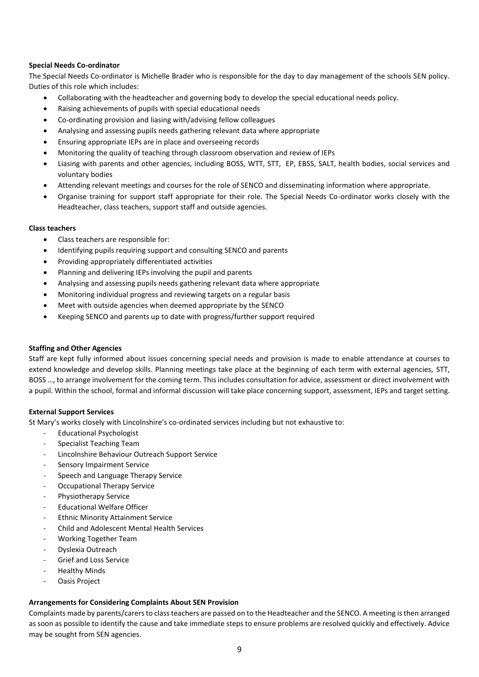#### **Special Needs Co-ordinator**

The Special Needs Co-ordinator is Michelle Brader who is responsible for the day to day management of the schools SEN policy. Duties of this role which includes:

- Collaborating with the headteacher and governing body to develop the special educational needs policy.
- Raising achievements of pupils with special educational needs
- Co-ordinating provision and liasing with/advising fellow colleagues
- Analysing and assessing pupils needs gathering relevant data where appropriate
- Ensuring appropriate IEPs are in place and overseeing records
- Monitoring the quality of teaching through classroom observation and review of IEPs
- Liasing with parents and other agencies, including BOSS, WTT, STT, EP, EBSS, SALT, health bodies, social services and voluntary bodies
- Attending relevant meetings and courses for the role of SENCO and disseminating information where appropriate.
- Organise training for support staff appropriate for their role. The Special Needs Co-ordinator works closely with the Headteacher, class teachers, support staff and outside agencies.

#### **Class teachers**

- Class teachers are responsible for:
- Identifying pupils requiring support and consulting SENCO and parents
- Providing appropriately differentiated activities
- Planning and delivering IEPs involving the pupil and parents
- Analysing and assessing pupils needs gathering relevant data where appropriate
- Monitoring individual progress and reviewing targets on a regular basis
- Meet with outside agencies when deemed appropriate by the SENCO
- Keeping SENCO and parents up to date with progress/further support required

#### **Staffing and Other Agencies**

Staff are kept fully informed about issues concerning special needs and provision is made to enable attendance at courses to extend knowledge and develop skills. Planning meetings take place at the beginning of each term with external agencies, STT, BOSS …, to arrange involvement for the coming term. This includes consultation for advice, assessment or direct involvement with a pupil. Within the school, formal and informal discussion will take place concerning support, assessment, IEPs and target setting.

#### **External Support Services**

St Mary's works closely with Lincolnshire's co-ordinated services including but not exhaustive to:

- Educational Psychologist
- Specialist Teaching Team
- Lincolnshire Behaviour Outreach Support Service
- Sensory Impairment Service
- Speech and Language Therapy Service
- Occupational Therapy Service
- Physiotherapy Service
- Educational Welfare Officer
- Ethnic Minority Attainment Service
- Child and Adolescent Mental Health Services
- Working Together Team
- Dyslexia Outreach
- Grief and Loss Service
- Healthy Minds
- Oasis Project

# **Arrangements for Considering Complaints About SEN Provision**

Complaints made by parents/carers to class teachers are passed on to the Headteacher and the SENCO. A meeting is then arranged as soon as possible to identify the cause and take immediate steps to ensure problems are resolved quickly and effectively. Advice may be sought from SEN agencies.